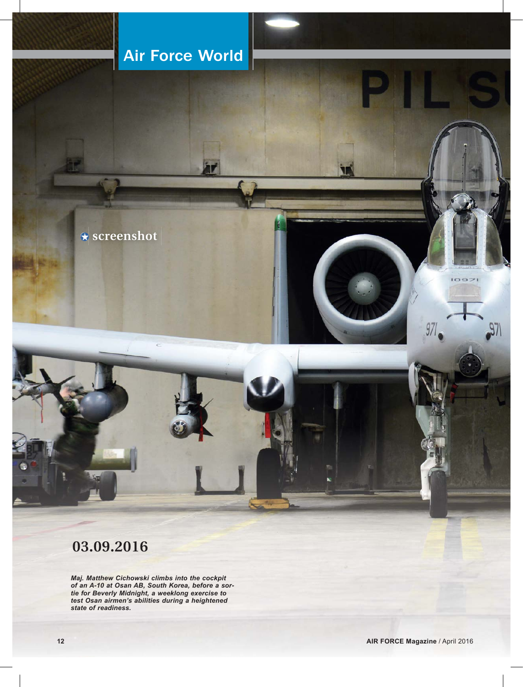# Air Force World

**screenshot**

## **03.09.2016**

*Maj. Matthew Cichowski climbs into the cockpit of an A-10 at Osan AB, South Korea, before a sortie for Beverly Midnight, a weeklong exercise to test Osan airmen's abilities during a heightened state of readiness.*

 $1097$ 

 $\mathfrak{g}_{\mathbb{Z}}$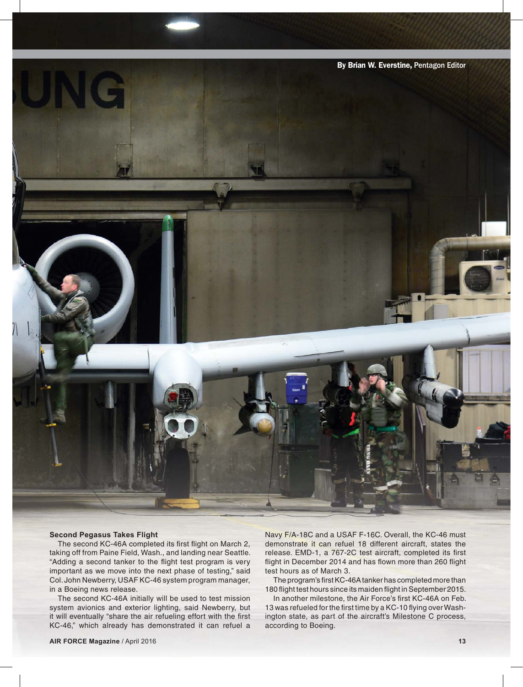

### **Second Pegasus Takes Flight**

The second KC-46A completed its first flight on March 2, taking off from Paine Field, Wash., and landing near Seattle. "Adding a second tanker to the flight test program is very important as we move into the next phase of testing," said Col. John Newberry, USAF KC-46 system program manager, in a Boeing news release.

The second KC-46A initially will be used to test mission system avionics and exterior lighting, said Newberry, but it will eventually "share the air refueling effort with the first KC-46," which already has demonstrated it can refuel a

Navy F/A-18C and a USAF F-16C. Overall, the KC-46 must demonstrate it can refuel 18 different aircraft, states the release. EMD-1, a 767-2C test aircraft, completed its first flight in December 2014 and has flown more than 260 flight test hours as of March 3.

The program's first KC-46A tanker has completed more than 180 flight test hours since its maiden flight in September 2015.

In another milestone, the Air Force's first KC-46A on Feb. 13 was refueled for the first time by a KC-10 flying over Washington state, as part of the aircraft's Milestone C process, according to Boeing.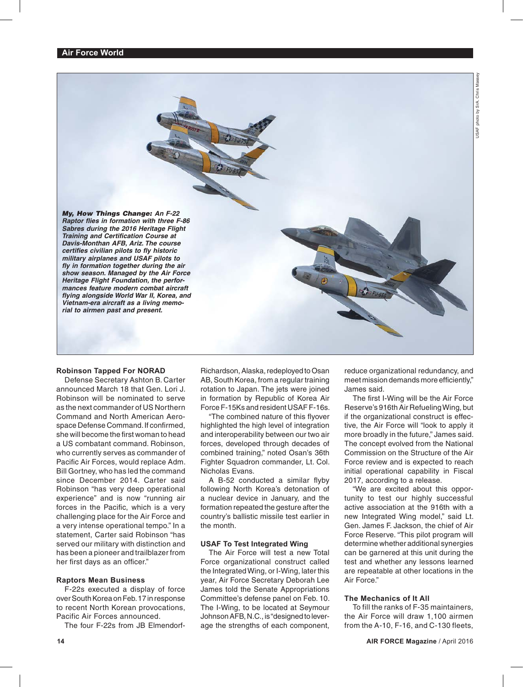Vasse

*My, How Things Change: An F-22 Raptor flies in formation with three F-86 Sabres during the 2016 Heritage Flight Training and Certification Course at Davis-Monthan AFB, Ariz. The course certifies civilian pilots to fly historic military airplanes and USAF pilots to fly in formation together during the air show season. Managed by the Air Force Heritage Flight Foundation, the performances feature modern combat aircraft flying alongside World War II, Korea, and Vietnam-era aircraft as a living memorial to airmen past and present.*

### **Robinson Tapped For NORAD**

Defense Secretary Ashton B. Carter announced March 18 that Gen. Lori J. Robinson will be nominated to serve as the next commander of US Northern Command and North American Aerospace Defense Command. If confirmed, she will become the first woman to head a US combatant command. Robinson, who currently serves as commander of Pacific Air Forces, would replace Adm. Bill Gortney, who has led the command since December 2014. Carter said Robinson "has very deep operational experience" and is now "running air forces in the Pacific, which is a very challenging place for the Air Force and a very intense operational tempo." In a statement, Carter said Robinson "has served our military with distinction and has been a pioneer and trailblazer from her first days as an officer."

### **Raptors Mean Business**

F-22s executed a display of force over South Korea on Feb. 17 in response to recent North Korean provocations, Pacific Air Forces announced.

The four F-22s from JB Elmendorf-

Richardson, Alaska, redeployed to Osan AB, South Korea, from a regular training rotation to Japan. The jets were joined in formation by Republic of Korea Air Force F-15Ks and resident USAF F-16s.

"The combined nature of this flyover highlighted the high level of integration and interoperability between our two air forces, developed through decades of combined training," noted Osan's 36th Fighter Squadron commander, Lt. Col. Nicholas Evans.

A B-52 conducted a similar flyby following North Korea's detonation of a nuclear device in January, and the formation repeated the gesture after the country's ballistic missile test earlier in the month.

### **USAF To Test Integrated Wing**

The Air Force will test a new Total Force organizational construct called the Integrated Wing, or I-Wing, later this year, Air Force Secretary Deborah Lee James told the Senate Appropriations Committee's defense panel on Feb. 10. The I-Wing, to be located at Seymour Johnson AFB, N.C., is "designed to leverage the strengths of each component,

reduce organizational redundancy, and meet mission demands more efficiently," James said.

The first I-Wing will be the Air Force Reserve's 916th Air Refueling Wing, but if the organizational construct is effective, the Air Force will "look to apply it more broadly in the future," James said. The concept evolved from the National Commission on the Structure of the Air Force review and is expected to reach initial operational capability in Fiscal 2017, according to a release.

"We are excited about this opportunity to test our highly successful active association at the 916th with a new Integrated Wing model," said Lt. Gen. James F. Jackson, the chief of Air Force Reserve. "This pilot program will determine whether additional synergies can be garnered at this unit during the test and whether any lessons learned are repeatable at other locations in the Air Force."

### **The Mechanics of It All**

To fill the ranks of F-35 maintainers, the Air Force will draw 1,100 airmen from the A-10, F-16, and C-130 fleets,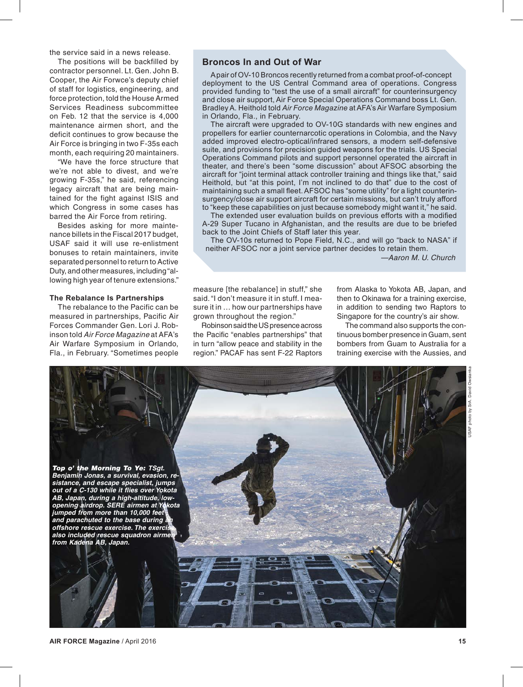the service said in a news release.

The positions will be backfilled by contractor personnel. Lt. Gen. John B. Cooper, the Air Forwce's deputy chief of staff for logistics, engineering, and force protection, told the House Armed Services Readiness subcommittee on Feb. 12 that the service is 4,000 maintenance airmen short, and the deficit continues to grow because the Air Force is bringing in two F-35s each month, each requiring 20 maintainers.

"We have the force structure that we're not able to divest, and we're growing F-35s," he said, referencing legacy aircraft that are being maintained for the fight against ISIS and which Congress in some cases has barred the Air Force from retiring.

Besides asking for more maintenance billets in the Fiscal 2017 budget, USAF said it will use re-enlistment bonuses to retain maintainers, invite separated personnel to return to Active Duty, and other measures, including "allowing high year of tenure extensions."

### **The Rebalance Is Partnerships**

The rebalance to the Pacific can be measured in partnerships, Pacific Air Forces Commander Gen. Lori J. Robinson told *Air Force Magazine* at AFA's Air Warfare Symposium in Orlando, Fla., in February. "Sometimes people

### **Broncos In and Out of War**

A pair of OV-10 Broncos recently returned from a combat proof-of-concept deployment to the US Central Command area of operations. Congress provided funding to "test the use of a small aircraft" for counterinsurgency and close air support, Air Force Special Operations Command boss Lt. Gen. Bradley A. Heithold told *Air Force Magazine* at AFA's Air Warfare Symposium in Orlando, Fla., in February.

The aircraft were upgraded to OV-10G standards with new engines and propellers for earlier counternarcotic operations in Colombia, and the Navy added improved electro-optical/infrared sensors, a modern self-defensive suite, and provisions for precision guided weapons for the trials. US Special Operations Command pilots and support personnel operated the aircraft in theater, and there's been "some discussion" about AFSOC absorbing the aircraft for "joint terminal attack controller training and things like that," said Heithold, but "at this point, I'm not inclined to do that" due to the cost of maintaining such a small fleet. AFSOC has "some utility" for a light counterinsurgency/close air support aircraft for certain missions, but can't truly afford to "keep these capabilities on just because somebody might want it," he said.

The extended user evaluation builds on previous efforts with a modified A-29 Super Tucano in Afghanistan, and the results are due to be briefed back to the Joint Chiefs of Staff later this year.

The OV-10s returned to Pope Field, N.C., and will go "back to NASA" if neither AFSOC nor a joint service partner decides to retain them.

*—Aaron M. U. Church*

measure [the rebalance] in stuff," she said. "I don't measure it in stuff. I measure it in … how our partnerships have grown throughout the region."

Robinson said the US presence across the Pacific "enables partnerships" that in turn "allow peace and stability in the region." PACAF has sent F-22 Raptors

from Alaska to Yokota AB, Japan, and then to Okinawa for a training exercise, in addition to sending two Raptors to Singapore for the country's air show.

The command also supports the continuous bomber presence in Guam, sent bombers from Guam to Australia for a training exercise with the Aussies, and

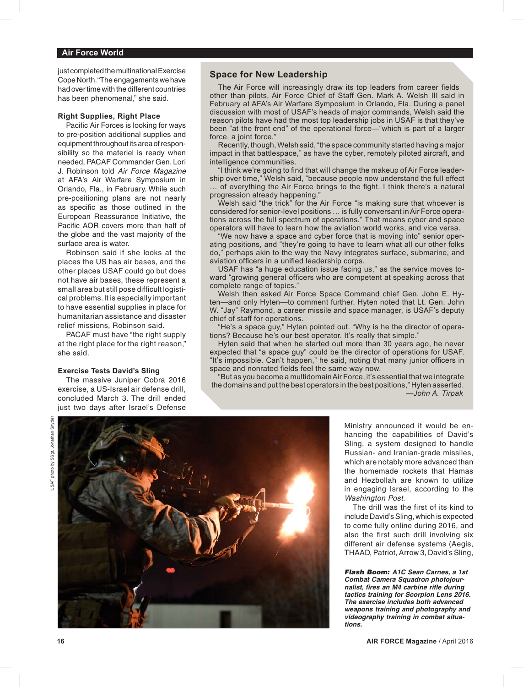### **Air Force World**

just completed the multinational Exercise Cope North. "The engagements we have had over time with the different countries has been phenomenal," she said.

### **Right Supplies, Right Place**

Pacific Air Forces is looking for ways to pre-position additional supplies and equipment throughout its area of responsibility so the materiel is ready when needed, PACAF Commander Gen. Lori J. Robinson told *Air Force Magazine*  at AFA's Air Warfare Symposium in Orlando, Fla., in February. While such pre-positioning plans are not nearly as specific as those outlined in the European Reassurance Initiative, the Pacific AOR covers more than half of the globe and the vast majority of the surface area is water.

Robinson said if she looks at the places the US has air bases, and the other places USAF could go but does not have air bases, these represent a small area but still pose difficult logistical problems. It is especially important to have essential supplies in place for humanitarian assistance and disaster relief missions, Robinson said.

PACAF must have "the right supply at the right place for the right reason," she said.

### **Exercise Tests David's Sling**

The massive Juniper Cobra 2016 exercise, a US-Israel air defense drill, concluded March 3. The drill ended just two days after Israel's Defense

### **Space for New Leadership**

The Air Force will increasingly draw its top leaders from career fields other than pilots, Air Force Chief of Staff Gen. Mark A. Welsh III said in February at AFA's Air Warfare Symposium in Orlando, Fla. During a panel discussion with most of USAF's heads of major commands, Welsh said the reason pilots have had the most top leadership jobs in USAF is that they've been "at the front end" of the operational force—"which is part of a larger force, a joint force."

Recently, though, Welsh said, "the space community started having a major impact in that battlespace," as have the cyber, remotely piloted aircraft, and intelligence communities.

"I think we're going to find that will change the makeup of Air Force leadership over time," Welsh said, "because people now understand the full effect of everything the Air Force brings to the fight. I think there's a natural progression already happening.

Welsh said "the trick" for the Air Force "is making sure that whoever is considered for senior-level positions … is fully conversant in Air Force operations across the full spectrum of operations." That means cyber and space operators will have to learn how the aviation world works, and vice versa.

"We now have a space and cyber force that is moving into" senior operating positions, and "they're going to have to learn what all our other folks do," perhaps akin to the way the Navy integrates surface, submarine, and aviation officers in a unified leadership corps.

USAF has "a huge education issue facing us," as the service moves toward "growing general officers who are competent at speaking across that complete range of topics."

Welsh then asked Air Force Space Command chief Gen. John E. Hyten—and only Hyten—to comment further. Hyten noted that Lt. Gen. John W. "Jay" Raymond, a career missile and space manager, is USAF's deputy chief of staff for operations.

"He's a space guy," Hyten pointed out. "Why is he the director of operations? Because he's our best operator. It's really that simple."

Hyten said that when he started out more than 30 years ago, he never expected that "a space guy" could be the director of operations for USAF. "It's impossible. Can't happen," he said, noting that many junior officers in space and nonrated fields feel the same way now.

"But as you become a multidomain Air Force, it's essential that we integrate the domains and put the best operators in the best positions," Hyten asserted. *—John A. Tirpak*



Ministry announced it would be enhancing the capabilities of David's Sling, a system designed to handle Russian- and Iranian-grade missiles, which are notably more advanced than the homemade rockets that Hamas and Hezbollah are known to utilize in engaging Israel, according to the *Washington Post.*

The drill was the first of its kind to include David's Sling, which is expected to come fully online during 2016, and also the first such drill involving six different air defense systems (Aegis, THAAD, Patriot, Arrow 3, David's Sling,

*Flash Boom: A1C Sean Carnes, a 1st Combat Camera Squadron photojournalist, fires an M4 carbine rifle during tactics training for Scorpion Lens 2016. The exercise includes both advanced weapons training and photography and videography training in combat situations.*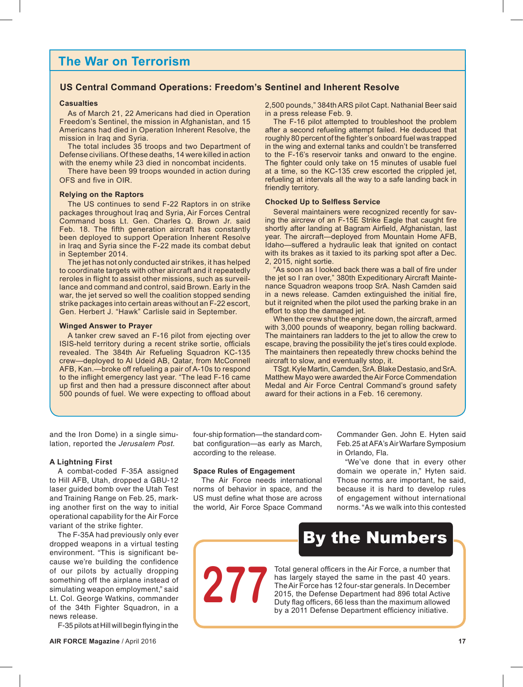## **The War on Terrorism**

### **US Central Command Operations: Freedom's Sentinel and Inherent Resolve**

### **Casualties**

As of March 21, 22 Americans had died in Operation Freedom's Sentinel, the mission in Afghanistan, and 15 Americans had died in Operation Inherent Resolve, the mission in Iraq and Syria.

The total includes 35 troops and two Department of Defense civilians. Of these deaths, 14 were killed in action with the enemy while 23 died in noncombat incidents.

There have been 99 troops wounded in action during OFS and five in OIR.

### **Relying on the Raptors**

The US continues to send F-22 Raptors in on strike packages throughout Iraq and Syria, Air Forces Central Command boss Lt. Gen. Charles Q. Brown Jr. said Feb. 18. The fifth generation aircraft has constantly been deployed to support Operation Inherent Resolve in Iraq and Syria since the F-22 made its combat debut in September 2014.

The jet has not only conducted air strikes, it has helped to coordinate targets with other aircraft and it repeatedly reroles in flight to assist other missions, such as surveillance and command and control, said Brown. Early in the war, the jet served so well the coalition stopped sending strike packages into certain areas without an F-22 escort, Gen. Herbert J. "Hawk" Carlisle said in September.

### **Winged Answer to Prayer**

A tanker crew saved an F-16 pilot from ejecting over ISIS-held territory during a recent strike sortie, officials revealed. The 384th Air Refueling Squadron KC-135 crew—deployed to Al Udeid AB, Qatar, from McConnell AFB, Kan.—broke off refueling a pair of A-10s to respond to the inflight emergency last year. "The lead F-16 came up first and then had a pressure disconnect after about 500 pounds of fuel. We were expecting to offload about 2,500 pounds," 384th ARS pilot Capt. Nathanial Beer said in a press release Feb. 9.

The F-16 pilot attempted to troubleshoot the problem after a second refueling attempt failed. He deduced that roughly 80 percent of the fighter's onboard fuel was trapped in the wing and external tanks and couldn't be transferred to the F-16's reservoir tanks and onward to the engine. The fighter could only take on 15 minutes of usable fuel at a time, so the KC-135 crew escorted the crippled jet, refueling at intervals all the way to a safe landing back in friendly territory.

### **Chocked Up to Selfless Service**

Several maintainers were recognized recently for saving the aircrew of an F-15E Strike Eagle that caught fire shortly after landing at Bagram Airfield, Afghanistan, last year. The aircraft—deployed from Mountain Home AFB, Idaho—suffered a hydraulic leak that ignited on contact with its brakes as it taxied to its parking spot after a Dec. 2, 2015, night sortie.

"As soon as I looked back there was a ball of fire under the jet so I ran over," 380th Expeditionary Aircraft Maintenance Squadron weapons troop SrA. Nash Camden said in a news release. Camden extinguished the initial fire, but it reignited when the pilot used the parking brake in an effort to stop the damaged jet.

When the crew shut the engine down, the aircraft, armed with 3,000 pounds of weaponry, began rolling backward. The maintainers ran ladders to the jet to allow the crew to escape, braving the possibility the jet's tires could explode. The maintainers then repeatedly threw chocks behind the aircraft to slow, and eventually stop, it.

TSgt. Kyle Martin, Camden, SrA. Blake Destasio, and SrA. Matthew Mayo were awarded the Air Force Commendation Medal and Air Force Central Command's ground safety award for their actions in a Feb. 16 ceremony.

and the Iron Dome) in a single simulation, reported the *Jerusalem Post.*

### **A Lightning First**

A combat-coded F-35A assigned to Hill AFB, Utah, dropped a GBU-12 laser guided bomb over the Utah Test and Training Range on Feb. 25, marking another first on the way to initial operational capability for the Air Force variant of the strike fighter.

The F-35A had previously only ever dropped weapons in a virtual testing environment. "This is significant because we're building the confidence of our pilots by actually dropping something off the airplane instead of simulating weapon employment," said Lt. Col. George Watkins, commander of the 34th Fighter Squadron, in a news release.

F-35 pilots at Hill will begin flying in the

four-ship formation—the standard combat configuration—as early as March, according to the release.

### **Space Rules of Engagement**

Duty flag officers, 66 less than the maximum allowed **277**

The Air Force needs international norms of behavior in space, and the US must define what those are across the world, Air Force Space Command Commander Gen. John E. Hyten said Feb. 25 at AFA's Air Warfare Symposium in Orlando, Fla.

"We've done that in every other domain we operate in," Hyten said. Those norms are important, he said, because it is hard to develop rules of engagement without international norms. "As we walk into this contested

## By the Numbers

Total general officers in the Air Force, a number that has largely stayed the same in the past 40 years. The Air Force has 12 four-star generals. In December 2015, the Defense Department had 896 total Active by a 2011 Defense Department efficiency initiative.